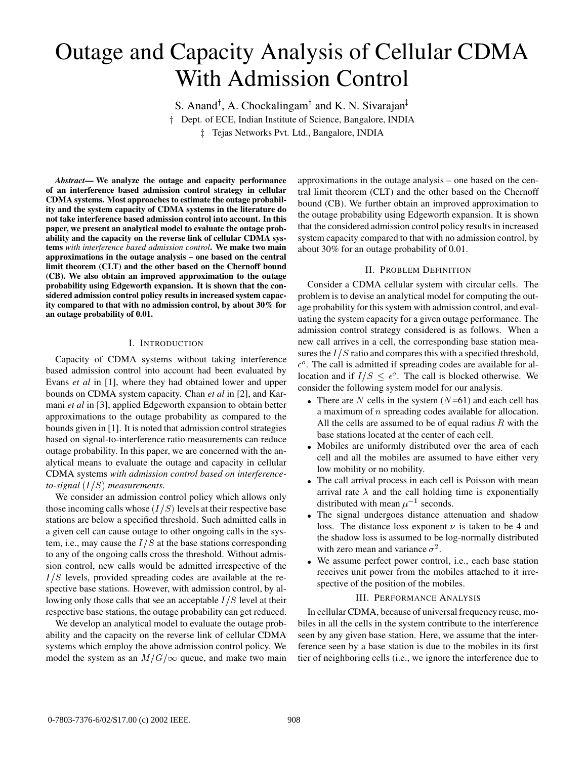# Outage and Capacity Analysis of Cellular CDMA With Admission Control

S. Anand<sup>†</sup>, A. Chockalingam<sup>†</sup> and K. N. Sivarajan<sup>‡</sup> <sup>†</sup> Dept. of ECE, Indian Institute of Science, Bangalore, INDIA <sup>z</sup> Tejas Networks Pvt. Ltd., Bangalore, INDIA

*Abstract***— We analyze the outage and capacity performance of an interference based admission control strategy in cellular CDMA systems. Most approaches to estimate the outage probability and the system capacity of CDMA systems in the literature do not take interference based admission control into account. In this paper, we present an analytical model to evaluate the outage probability and the capacity on the reverse link of cellular CDMA systems** *with interference based admission control***. We make two main approximations in the outage analysis – one based on the central limit theorem (CLT) and the other based on the Chernoff bound (CB). We also obtain an improved approximation to the outage probability using Edgeworth expansion. It is shown that the considered admission control policy results in increased system capacity compared to that with no admission control, by about 30% for an outage probability of 0.01.**

## I. INTRODUCTION

Capacity of CDMA systems without taking interference based admission control into account had been evaluated by Evans *et al* in [1], where they had obtained lower and upper bounds on CDMA system capacity. Chan *et al* in [2], and Karmani *et al* in [3], applied Edgeworth expansion to obtain better approximations to the outage probability as compared to the bounds given in [1]. It is noted that admission control strategies based on signal-to-interference ratio measurements can reduce outage probability. In this paper, we are concerned with the analytical means to evaluate the outage and capacity in cellular CDMA systems *with admission control based on interferenceto-signal*  $(I/S)$  *measurements.* 

We consider an admission control policy which allows only those incoming calls whose  $(I/S)$  levels at their respective base stations are below a specified threshold. Such admitted calls in a given cell can cause outage to other ongoing calls in the system, i.e., may cause the  $I/S$  at the base stations corresponding to any of the ongoing calls cross the threshold. Without admission control, new calls would be admitted irrespective of the  $I/S$  levels, provided spreading codes are available at the respective base stations. However, with admission control, by allowing only those calls that see an acceptable  $I/S$  level at their respective base stations, the outage probability can get reduced.

We develop an analytical model to evaluate the outage probability and the capacity on the reverse link of cellular CDMA systems which employ the above admission control policy. We model the system as an  $M/G/\infty$  queue, and make two main

approximations in the outage analysis – one based on the central limit theorem (CLT) and the other based on the Chernoff bound (CB). We further obtain an improved approximation to the outage probability using Edgeworth expansion. It is shown that the considered admission control policy results in increased system capacity compared to that with no admission control, by about 30% for an outage probability of 0.01.

## II. PROBLEM DEFINITION

Consider a CDMA cellular system with circular cells. The problem is to devise an analytical model for computing the outage probability for this system with admission control, and evaluating the system capacity for a given outage performance. The admission control strategy considered is as follows. When a new call arrives in a cell, the corresponding base station measures the  $I/S$  ratio and compares this with a specified threshold,  $\epsilon^{\circ}$ . The call is admitted if spreading codes are available for allocation and if  $I/S \leq \epsilon^{\circ}$ . The call is blocked otherwise. We consider the following system model for our analysis.

- There are N cells in the system  $(N=61)$  and each cell has a maximum of <sup>n</sup> spreading codes available for allocation. All the cells are assumed to be of equal radius  $R$  with the base stations located at the center of each cell.
- Mobiles are uniformly distributed over the area of each cell and all the mobiles are assumed to have either very low mobility or no mobility.
- The call arrival process in each cell is Poisson with mean arrival rate  $\lambda$  and the call holding time is exponentially distributed with mean  $\mu^{-1}$  seconds.
- The signal undergoes distance attenuation and shadow loss. The distance loss exponent  $\nu$  is taken to be 4 and the shadow loss is assumed to be log-normally distributed with zero mean and variance  $\sigma^2$ .
- We assume perfect power control, i.e., each base station receives unit power from the mobiles attached to it irrespective of the position of the mobiles.

## III. PERFORMANCE ANALYSIS

In cellular CDMA, because of universal frequency reuse, mobiles in all the cells in the system contribute to the interference seen by any given base station. Here, we assume that the interference seen by a base station is due to the mobiles in its first tier of neighboring cells (i.e., we ignore the interference due to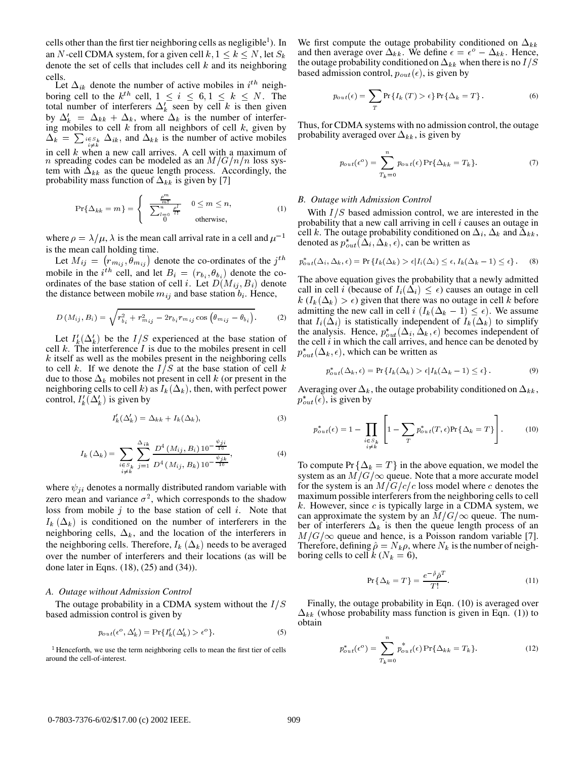cells other than the first tier neighboring cells as negligible<sup>1</sup>). In an N-cell CDMA system, for a given cell  $k, 1 \le k \le N$ , let  $S_k$ denote the set of cells that includes cell  $k$  and its neighboring cells.

Let  $\Delta_{ik}$  denote the number of active mobiles in  $i^{th}$  neighboring cell to the  $k^{th}$  cell,  $1 \leq i \leq 6, 1 \leq k \leq N$ . The total number of interferers  $\Delta'_k$  seen by cell k is then given by  $\Delta'_k = \Delta_{kk} + \Delta_k$ , where  $\Delta_k$  is the number of interfering mobiles to cell  $k$  from all neighbors of cell  $k$ , given by  $\Delta_k = \sum_{\substack{i \in S_k \\ i \neq k}} \Delta_{ik}$ , and  $\Delta_{kk}$  is the number of active mobiles in cell  $k$  when a new call arrives. A cell with a maximum of *n* spreading codes can be modeled as an  $M/G/n/n$  loss system with  $\Delta_{kk}$  as the queue length process. Accordingly, the probability mass function of  $\Delta_{kk}$  is given by [7]

$$
\Pr\{\Delta_{kk} = m\} = \begin{cases} \frac{e^{mt}}{\sum_{l=0}^{n} \frac{e^{l}}{l!}} & 0 \leq m \leq n, \\ 0 & \text{otherwise,} \end{cases}
$$
 (1)

where  $\rho = \lambda / \mu$ ,  $\lambda$  is the mean call arrival rate in a cell and  $\mu^{-1}$ is the mean call holding time.

Let  $M_{ij} = (r_{m_{ij}}, \theta_{m_{ij}})$  denote the co-ordinates of the  $j^{th}$   $r_{out}^*$ . mobile in the *i*<sup>th</sup> cell, and let  $B_i = (r_{b_i}, \theta_{b_i})$  denote the coordinates of the base station of cell *i*. Let  $D(M_{ij}, B_i)$  denote the distance between mobile  $m_{ij}$  and base station  $b_i$ . Hence,

$$
D\left(M_{ij}, B_i\right) = \sqrt{r_{b_i}^2 + r_{m_{ij}}^2 - 2r_{b_i}r_{m_{ij}}\cos\left(\theta_{m_{ij}} - \theta_{b_i}\right)}.
$$
 (2)

Let  $I'_k(\Delta'_k)$  be the  $I/S$  experienced at the base station of cell  $k$ . The interference  $I$  is due to the mobiles present in cell  $k$  itself as well as the mobiles present in the neighboring cells to cell k. If we denote the  $I/S$  at the base station of cell k due to those  $\Delta_k$  mobiles not present in cell k (or present in the neighboring cells to cell k) as  $I_k(\Delta_k)$ , then, with perfect power control,  $I'_k(\Delta'_k)$  is given by

$$
I'_k(\Delta'_k) = \Delta_{kk} + I_k(\Delta_k),\tag{3}
$$

$$
I_k\left(\Delta_k\right) = \sum_{\substack{i \in S_k \\ i \neq k}} \sum_{j=1}^{\Delta_{ik}} \frac{D^4\left(M_{ij}, B_i\right) 10^{-\frac{\psi_{ji}}{10}}}{D^4\left(M_{ij}, B_k\right) 10^{-\frac{\psi_{jk}}{10}}},\tag{4}
$$

where  $\psi_{ii}$  denotes a normally distributed random variable with zero mean and variance  $\sigma^2$ , which corresponds to the shadow loss from mobile  $j$  to the base station of cell  $i$ . Note that  $I_k(\Delta_k)$  is conditioned on the number of interferers in the neighboring cells,  $\Delta_k$ , and the location of the interferers in the neighboring cells. Therefore,  $I_k(\Delta_k)$  needs to be averaged over the number of interferers and their locations (as will be done later in Eqns. (18), (25) and (34)).

#### *A. Outage without Admission Control*

The outage probability in a CDMA system without the  $I/S$ based admission control is given by

$$
p_{out}(\epsilon^o, \Delta'_k) = \Pr\{I'_k(\Delta'_k) > \epsilon^o\}.
$$
 (5)

<sup>1</sup> Henceforth, we use the term neighboring cells to mean the first tier of cells around the cell-of-interest.

We first compute the outage probability conditioned on  $\Delta_{kk}$ and then average over  $\Delta_{kk}$ . We define  $\epsilon = \epsilon^{\circ} - \Delta_{kk}$ . Hence, the outage probability conditioned on  $\Delta_{kk}$  when there is no  $I/S$ based admission control,  $p_{out}(\epsilon)$ , is given by

$$
p_{out}(\epsilon) = \sum_{T} \Pr\left\{I_k(T) > \epsilon\right\} \Pr\left\{\Delta_k = T\right\}.
$$
 (6)

Thus, for CDMA systems with no admission control, the outage probability averaged over  $\Delta_{kk}$ , is given by

$$
p_{out}(\epsilon^o) = \sum_{T_k=0}^{n} p_{out}(\epsilon) \Pr{\Delta_{kk} = T_k}.
$$
 (7)

### *B. Outage with Admission Control*

With  $I/S$  based admission control, we are interested in the probability that a new call arriving in cell  $i$  causes an outage in cell k. The outage probability conditioned on  $\Delta_i$ ,  $\Delta_k$  and  $\Delta_{kk}$ , denoted as  $p_{out}^*(\Delta_i, \Delta_k, \epsilon)$ , can be written as

$$
p_{out}^*(\Delta_i, \Delta_k, \epsilon) = \Pr\left\{I_k(\Delta_k) > \epsilon | I_i(\Delta_i) \leq \epsilon, I_k(\Delta_k - 1) \leq \epsilon\right\}.
$$
 (8)

The above equation gives the probability that a newly admitted call in cell *i* (because of  $I_i(\Delta_i) \leq \epsilon$ ) causes an outage in cell  $k(I_k(\Delta_k) > \epsilon)$  given that there was no outage in cell k before admitting the new call in cell  $i$   $(I_k(\Delta_k - 1) \leq \epsilon)$ . We assume that  $I_i(\Delta_i)$  is statistically independent of  $I_k(\Delta_k)$  to simplify the analysis. Hence,  $p_{out}^*(\Delta_i, \Delta_k, \epsilon)$  becomes independent of the cell  $i$  in which the call arrives, and hence can be denoted by  $p_{out}^*(\Delta_k, \epsilon)$ , which can be written as

$$
p_{out}^*(\Delta_k, \epsilon) = \Pr\left\{I_k(\Delta_k) > \epsilon | I_k(\Delta_k - 1) \le \epsilon\right\}.
$$
 (9)

Averaging over  $\Delta_k$ , the outage probability conditioned on  $\Delta_{kk}$ ,  $p_{out}^*(\epsilon)$ , is given by

$$
p_{out}^*(\epsilon) = 1 - \prod_{\substack{i \in S_k \\ i \neq k}} \left[ 1 - \sum_T p_{out}^*(T, \epsilon) \Pr\{\Delta_k = T\} \right].
$$
 (10)

To compute Pr  $\{\Delta_k = T\}$  in the above equation, we model the system as an  $M/G/\infty$  queue. Note that a more accurate model for the system is an  $M/G/c/c$  loss model where c denotes the maximum possible interferers from the neighboring cells to cell  $k$ . However, since  $c$  is typically large in a CDMA system, we can approximate the system by an  $M/G/\infty$  queue. The number of interferers  $\Delta_k$  is then the queue length process of an  $M/G/\infty$  queue and hence, is a Poisson random variable [7]. Therefore, defining  $\hat{\rho} = N_k \rho$ , where  $N_k$  is the number of neighboring cells to cell  $k$  ( $N_k = 6$ ),

$$
\Pr\left\{\Delta_k = T\right\} = \frac{e^{-\hat{\rho}}\hat{\rho}^T}{T!}.
$$
\n(11)

Finally, the outage probability in Eqn. (10) is averaged over  $\Delta_{kk}$  (whose probability mass function is given in Eqn. (1)) to obtain

$$
p_{out}^*(\epsilon^o) = \sum_{T_k=0}^n p_{out}^*(\epsilon) \Pr{\Delta_{kk} = T_k}.
$$
 (12)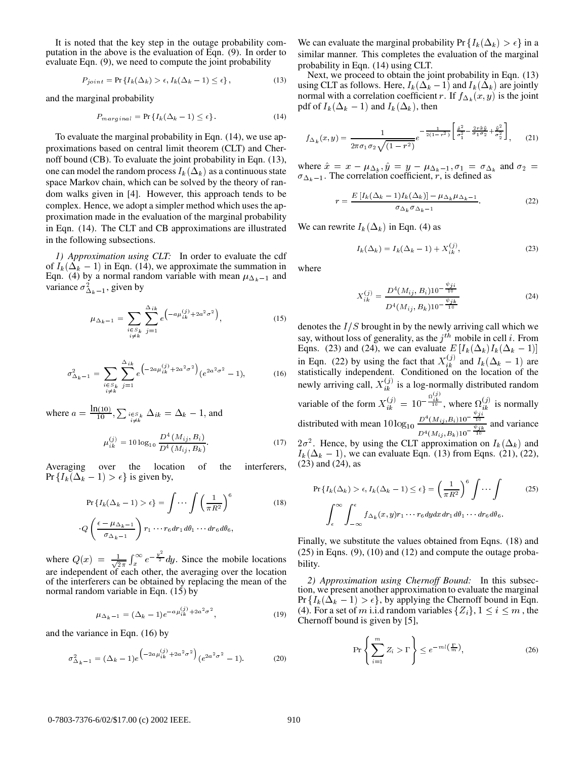It is noted that the key step in the outage probability computation in the above is the evaluation of Eqn. (9). In order to evaluate Eqn. (9), we need to compute the joint probability

$$
P_{joint} = \Pr\left\{I_k(\Delta_k) > \epsilon, I_k(\Delta_k - 1) \le \epsilon\right\},\tag{13}
$$

and the marginal probability

$$
P_{marginal} = \Pr\left\{ I_k(\Delta_k - 1) \le \epsilon \right\}.
$$
 (14)

To evaluate the marginal probability in Eqn. (14), we use approximations based on central limit theorem (CLT) and Chernoff bound (CB). To evaluate the joint probability in Eqn. (13), one can model the random process  $I_k(\Delta_k)$  as a continuous state space Markov chain, which can be solved by the theory of random walks given in [4]. However, this approach tends to be complex. Hence, we adopt a simpler method which uses the approximation made in the evaluation of the marginal probability in Eqn. (14). The CLT and CB approximations are illustrated in the following subsections.

*1) Approximation using CLT:* In order to evaluate the cdf of  $I_k(\Delta_k - 1)$  in Eqn. (14), we approximate the summation in Eqn. (4) by a normal random variable with mean  $\mu_{\Delta_k-1}$  and variance  $\sigma_{\Delta_k-1}^2$ , given by

$$
\mu_{\Delta_k - 1} = \sum_{\substack{i \in S_k \\ i \neq k}} \sum_{j=1}^{\Delta_{ik}} e^{\left(-a\mu_{ik}^{(j)} + 2a^2\sigma^2\right)}, \tag{15}
$$

$$
\sigma_{\Delta_k - 1}^2 = \sum_{\substack{i \in S_k \\ i \neq k}} \sum_{j=1}^{\Delta_{ik}} e^{\left(-2a\mu_{ik}^{(j)} + 2a^2\sigma^2\right)} (e^{2a^2\sigma^2} - 1),\tag{16}
$$

where  $a = \frac{\ln(10)}{10}, \sum_{\substack{i \in S_k \\ i \neq k}} \Delta_{ik} = \Delta_k - 1$ , and

$$
\mu_{ik}^{(j)} = 10 \log_{10} \frac{D^4 \left( M_{ij}, B_i \right)}{D^4 \left( M_{ij}, B_k \right)}.
$$
\n(17)

Averaging over the location of the interferers, Pr  $\{I_k(\Delta_k - 1) > \epsilon\}$  is given by,

$$
\Pr\{I_k(\Delta_k - 1) > \epsilon\} = \int \cdots \int \left(\frac{1}{\pi R^2}\right)^6
$$
\n
$$
Q\left(\frac{\epsilon - \mu_{\Delta_k - 1}}{\sigma_{\Delta_k - 1}}\right) r_1 \cdots r_6 dr_1 d\theta_1 \cdots dr_6 d\theta_6,
$$
\n(18)

where  $Q(x) = \frac{1}{\sqrt{2}} \int_{x}^{\infty} e^{-\frac{x^{2}}{2}} dx$  $\int_x^{\infty} e^{-\frac{y^2}{2}} dy$ . Since the mobile locations are independent of each other, the averaging over the location of the interferers can be obtained by replacing the mean of the normal random variable in Eqn. (15) by

$$
\mu_{\Delta_k - 1} = (\Delta_k - 1)e^{-a\mu_{ik}^{(j)} + 2a^2\sigma^2},
$$
\n(19)

and the variance in Eqn. (16) by

$$
\sigma_{\Delta_k - 1}^2 = (\Delta_k - 1)e^{-2a\mu_{ik}^{(j)} + 2a^2\sigma^2} (e^{2a^2\sigma^2} - 1).
$$
 (20)

We can evaluate the marginal probability Pr  $\{I_k(\Delta_k) > \epsilon\}$  in a similar manner. This completes the evaluation of the marginal probability in Eqn. (14) using CLT.

Next, we proceed to obtain the joint probability in Eqn. (13) using CLT as follows. Here,  $I_k(\Delta_k - 1)$  and  $I_k(\Delta_k)$  are jointly normal with a correlation coefficient r. If  $f_{\Delta_k}(x, y)$  is the joint pdf of  $I_k(\Delta_k - 1)$  and  $I_k(\Delta_k)$ , then

$$
f_{\Delta_k}(x,y) = \frac{1}{2\pi\sigma_1\sigma_2\sqrt{(1-r^2)}}e^{-\frac{1}{2(1-r^2)}\left[\frac{\hat{\sigma}_2^2}{\sigma_1^2} - \frac{2r\hat{x}\hat{y}}{\sigma_1\sigma_2} + \frac{\hat{y}^2}{\sigma_2^2}\right]},
$$
 (21)

where  $\hat{x} = x - \mu_{\Delta_k}, \hat{y} = y - \mu_{\Delta_k - 1}, \sigma_1 = \sigma_{\Delta_k}$  and  $\sigma_2 =$  $\sigma_{\Delta_k-1}$ . The correlation coefficient, r, is defined as

$$
r = \frac{E\left[I_k(\Delta_k - 1)I_k(\Delta_k)\right] - \mu_{\Delta_k}\mu_{\Delta_k - 1}}{\sigma_{\Delta_k}\sigma_{\Delta_k - 1}}.\tag{22}
$$

We can rewrite  $I_k(\Delta_k)$  in Eqn. (4) as

$$
I_k(\Delta_k) = I_k(\Delta_k - 1) + X_{ik}^{(j)},
$$
\n(23)

where

$$
X_{ik}^{(j)} = \frac{D^4(M_{ij}, B_i)10^{-\frac{\psi_{jk}}{10}}}{D^4(M_{ij}, B_k)10^{-\frac{\psi_{jk}}{10}}}
$$
(24)

denotes the  $I/S$  brought in by the newly arriving call which we say, without loss of generality, as the  $j<sup>th</sup>$  mobile in cell i. From Eqns. (23) and (24), we can evaluate  $E[I_k(\Delta_k)I_k(\Delta_k - 1)]$ in Eqn. (22) by using the fact that  $X_{ik}^{(J)}$  and  $I_k(\Delta_k - 1)$  are statistically independent. Conditioned on the location of the newly arriving call,  $X_{ik}^{(j)}$  is a log-normally distributed random  $i_k^{(j)}$  is a log-normally distributed random variable of the form  $X_{ik}^{(j)} = 10^{-\frac{\Omega_{ik}^{(j)}}{10}}$ , where  $\Omega_{ik}^{(j)}$  is normally distributed with mean  $10 \log_{10} \frac{D^4(M_{ij}, B_i) 10^{-\frac{\gamma_{ij}}{10}}}{\psi_{ik}}$  and v  $\frac{D^4(M_{ij}, B_i)10^{-10}}{D^4(M_{ij}, B_k)10^{-\frac{\psi_{jk}}{10}}}$  and variance  $2\sigma^2$ . Hence, by using the CLT approximation on  $I_k(\Delta_k)$  and

 $I_k(\Delta_k - 1)$ , we can evaluate Eqn. (13) from Eqns. (21), (22), (23) and (24), as

$$
\Pr\left\{I_k(\Delta_k) > \epsilon, I_k(\Delta_k - 1) \le \epsilon\right\} = \left(\frac{1}{\pi R^2}\right)^6 \int \cdots \int \qquad (25)
$$
\n
$$
\int_{\epsilon}^{\infty} \int_{-\infty}^{\epsilon} f_{\Delta_k}(x, y) r_1 \cdots r_6 dy dx dr_1 d\theta_1 \cdots dr_6 d\theta_6.
$$

Finally, we substitute the values obtained from Eqns. (18) and (25) in Eqns. (9), (10) and (12) and compute the outage probability.

*2) Approximation using Chernoff Bound:* In this subsection, we present another approximation to evaluate the marginal Pr  $\{I_k(\Delta_k - 1) > \epsilon\}$ , by applying the Chernoff bound in Eqn. (4). For a set of m i.i.d random variables  $\{Z_i\}$ ,  $1 \le i \le m$ , the Chernoff bound is given by [5],

$$
\Pr\left\{\sum_{i=1}^{m} Z_i > \Gamma\right\} \le e^{-ml\left(\frac{\Gamma}{m}\right)},\tag{26}
$$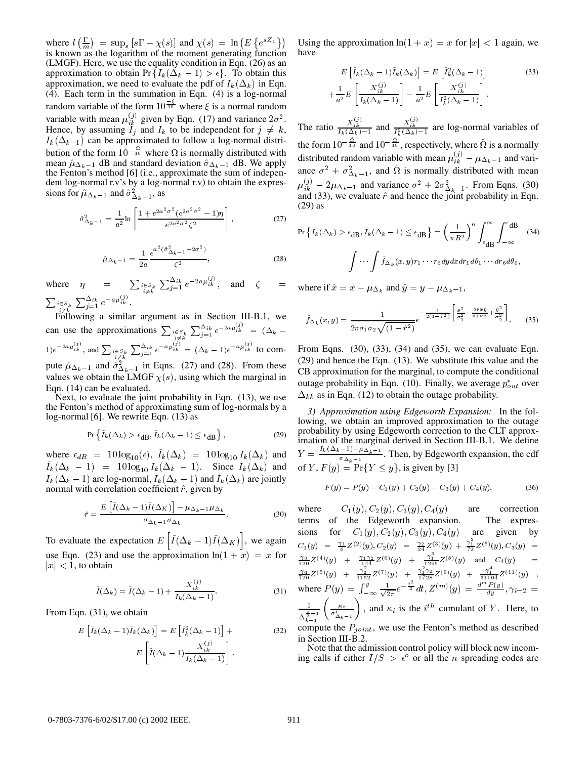where  $l\left(\frac{\Gamma}{m}\right) = \sup_s [s\Gamma - \chi(s)]$  and  $\chi(s) = \ln\left(E\left\{e^{sZ_1}\right\}\right)$  U is known as the logarithm of the moment generating function (LMGF). Here, we use the equality condition in Eqn. (26) as an approximation to obtain Pr  $\{I_k(\Delta_k - 1) > \epsilon\}$ . To obtain this approximation, we need to evaluate the pdf of  $I_k(\Delta_k)$  in Eqn. (4). Each term in the summation in Eqn. (4) is a log-normal random variable of the form  $10\overrightarrow{10}$  where  $\xi$  is a normal random variable with mean  $\mu_{ik}^{(j)}$  given by Eqn. (17) and variance  $2\sigma^2$ . Hence, by assuming  $I_j$  and  $I_k$  to be independent for  $j \neq k$ , The ration- $I_k(\Delta_{k-1})$  can be approximated to follow a log-normal distribution of the form  $10^{-\frac{32}{10}}$  where  $\Omega$  is normally distributed with mean  $\hat{\mu}_{\Delta_k-1}$  dB and standard deviation  $\hat{\sigma}_{\Delta_k-1}$  dB. We apply the Fenton's method [6] (i.e., approximate the sum of independent log-normal r.v's by a log-normal r.v) to obtain the expressions for  $\hat{\mu}_{\Delta_k-1}$  and  $\hat{\sigma}^2_{\Delta_k-1}$ , as

$$
\hat{\sigma}_{\Delta_k - 1}^2 = \frac{1}{a^2} \ln \left[ \frac{1 + e^{2a^2 \sigma^2} (e^{2a^2 \sigma^2} - 1)\eta}{e^{2a^2 \sigma^2} \zeta^2} \right],
$$
\n(27)

$$
\hat{\mu}_{\Delta_k - 1} = \frac{1}{2a} \frac{e^{a^2 (\hat{\sigma}_{\Delta_k - 1}^2 - 2\sigma^2)}}{\zeta^2},
$$
\n(28)

where  $\eta = \sum_{\substack{i \in S_k \\ i \neq k}} \sum_{j=1}^{\Delta_{ik}} e^{-2a\mu_{ik}^{ij}}$ , and  $\zeta =$  where if  $\hat{x}$ .  $\sum_{\substack{i \in S_k \ i \neq k}} \sum_{j=1}^{\Delta_{ik}} e^{-a \mu_{ik}^{S'}}$ 

Following a similar argument as in Section III-B.1, we can use the approximations  $\sum_{i \in S_k} \sum_{j=1}^{\Delta_{ik}} e^{-2a\mu_{ik}^{(j)}} = (\Delta_k (1)e^{-2a\mu_{ik}^{(y)}},$  and  $\sum_{\substack{i\in S_k \ i\neq k}} \sum_{j=1}^{\Delta_{ik}} e^{-a\mu_{ik}^{(y)}} = (\Delta_k - 1)e^{-a\mu_{ik}^{(y)}}$  to compute  $\hat{\mu}_{\Delta_k-1}$  and  $\hat{\sigma}^2_{\Delta_k-1}$  in Eqns. (27) and (28). From these values we obtain the LMGF  $\chi(s)$ , using which the marginal in Eqn. (14) can be evaluated.

Next, to evaluate the joint probability in Eqn. (13), we use the Fenton's method of approximating sum of log-normals by a log-normal [6]. We rewrite Eqn. (13) as

$$
\Pr\left\{\tilde{I}_k(\Delta_k) > \epsilon_{\text{dB}}, \tilde{I}_k(\Delta_k - 1) \le \epsilon_{\text{dB}}\right\},\tag{29}
$$

where  $\epsilon_{dB}$  = 10 log<sub>10</sub>( $\epsilon$ ),  $I_k(\Delta_k)$  = 10 log<sub>10</sub>  $I_k(\Delta_k)$  and  $I_k(\Delta_k - 1) = 10 \log_{10} I_k(\Delta_k - 1)$ . Since  $I_k(\Delta_k)$  and  $I_k(\Delta_k - 1)$  are log-normal,  $I_k(\Delta_k - 1)$  and  $I_k(\Delta_k)$  are jointly normal with correlation coefficient  $\hat{r}$ , given by

$$
\hat{r} = \frac{E\left[\tilde{I}(\Delta_k - 1)\tilde{I}(\Delta_K)\right] - \mu_{\Delta_k - 1}\mu_{\Delta_k}}{\sigma_{\Delta_k - 1}\sigma_{\Delta_k}}.\tag{30}
$$

To evaluate the expectation  $E[\tilde{I}(\Delta_k-1)\tilde{I}(\Delta_K)]$ , we again use Eqn. (23) and use the approximation  $ln(1 + x) = x$  for  $|x|$  < 1, to obtain

$$
\tilde{I}(\Delta_k) = \tilde{I}(\Delta_k - 1) + \frac{X_{ik}^{(j)}}{I_k(\Delta_k - 1)}.
$$
\n(31)

From Eqn. (31), we obtain

$$
E\left[\tilde{I}_k(\Delta_k - 1)\tilde{I}_k(\Delta_k)\right] = E\left[\tilde{I}_k^2(\Delta_k - 1)\right] +
$$
\n
$$
E\left[\tilde{I}(\Delta_k - 1)\frac{X_{ik}^{(j)}}{I_k(\Delta_k - 1)}\right].
$$
\n(32)

 $\{e^{sZ_1}\}\$  Using the approximation  $\ln(1+x)=x$  for  $|x|< 1$  again, we have

$$
E\left[\tilde{I}_k(\Delta_k - 1)\tilde{I}_k(\Delta_k)\right] = E\left[\tilde{I}_k^2(\Delta_k - 1)\right]
$$
(33)  

$$
+\frac{1}{a^2}E\left[\frac{X_{ik}^{(j)}}{I_k(\Delta_k - 1)}\right] - \frac{1}{a^2}E\left[\frac{X_{ik}^{(j)}}{I_k^2(\Delta_k - 1)}\right].
$$

The ratio  $\frac{X_{ik}^{(i)}}{I_k(\Delta_k)-1}$  and  $\frac{X_{ik}^{(i)}}{I_k(\Delta_k)-1}$  are log-normal variables of the form  $10^{-\frac{4}{10}}$  and  $10^{-\frac{4}{10}}$ , respectively, where  $\Omega$  is a normally distributed random variable with mean  $\mu_{ik}^{(J)} - \mu_{\Delta_k - 1}$  and variance  $\sigma^2 + \sigma_{\Delta_k-1}^2$ , and  $\Omega$  is normally distributed with mean  $\mu_{ik}^{(j)} - 2\mu_{\Delta_k-1}$  and variance  $\sigma^2 + 2\sigma_{\Delta_k-1}^2$ . From Eqns. (30) and (33), we evaluate  $\hat{r}$  and hence the joint probability in Eqn. (29) as

$$
\Pr\left\{\tilde{I}_{k}(\Delta_{k}) > \epsilon_{\text{dB}}, \tilde{I}_{k}(\Delta_{k} - 1) \leq \epsilon_{\text{dB}}\right\} = \left(\frac{1}{\pi R^{2}}\right)^{6} \int_{\epsilon_{\text{dB}}}^{\infty} \int_{-\infty}^{\epsilon_{\text{dB}}} (34)
$$
\n
$$
\int \cdots \int \tilde{f}_{\Delta_{k}}(x, y)r_{1} \cdots r_{6} dy dx dr_{1} d\theta_{1} \cdots dr_{6} d\theta_{6},
$$

where if  $\hat{x} = x - \mu_{\Delta_k}$  and  $\hat{y} = y - \mu_{\Delta_k-1}$ ,

$$
\tilde{f}_{\Delta_k}(x,y) = \frac{1}{2\pi\sigma_1\sigma_2\sqrt{(1-\hat{r}^2)}} e^{-\frac{1}{2(1-\hat{r}^2)}\left[\frac{\hat{x}^2}{\sigma_1^2} - \frac{2\hat{r}\hat{x}\hat{y}}{\sigma_1\sigma_2} + \frac{\hat{y}^2}{\sigma_2^2}\right]}.
$$
(35)

From Eqns. (30), (33), (34) and (35), we can evaluate Eqn. (29) and hence the Eqn. (13). We substitute this value and the CB approximation for the marginal, to compute the conditional outage probability in Eqn. (10). Finally, we average  $p_{out}^*$  over  $\Delta_{kk}$  as in Eqn. (12) to obtain the outage probability.

*3) Approximation using Edgeworth Expansion:* In the following, we obtain an improved approximation to the outage probability by using Edgeworth correction to the CLT approximation of the marginal derived in Section III-B.1. We define  $Y = \frac{N(1-k-1) + N(1-k-1)}{k-1}$ . Then  $\frac{-1}{\sigma_{\Delta_k-1}}$ . Then, by Edgeworth expansion, the cdf of Y,  $F(y) = Pr{Y \leq y}$ , is given by [3]

$$
F(y) = P(y) - C_1(y) + C_2(y) - C_3(y) + C_4(y),
$$
\n(36)

where  $C_1(y), C_2(y), C_3(y), C_4(y)$  are correction terms of the Edgeworth expansion. The expressions for  $C_1(y)$ ,  $C_2(y)$ ,  $C_3(y)$ ,  $C_4(y)$  are given by  $C_1(y) = \frac{\gamma_1}{6} Z^{(2)}(y), C_2(y) = \frac{\gamma_2}{24} Z^{(3)}(y) + \frac{\gamma_1}{72} Z^{(5)}(y), C_3(y) =$  $\frac{\gamma_3}{120}Z^{(4)}(y) + \frac{\gamma_1\gamma_2}{144}Z^{(6)}(y) + \frac{\gamma_1}{1296}Z^{(8)}(y)$  and  $C_4(y) =$  $\frac{\gamma_4}{720} Z^{(5)}(y) + \frac{\gamma_2}{1152} Z^{(7)}(y) + \frac{\gamma_1^-\gamma_2}{1728} Z^{(9)}(y) + \frac{\gamma_1^+}{31104} Z^{(11)}(y) \quad ,$ where  $P(y) = \int_{-\infty}^{y} \frac{1}{\sqrt{2\pi}} e^{-\frac{t}{2}} dt$ , 2  $\frac{1}{2\pi}e^{-\frac{t-1}{2}}dt, Z^{(m)}(y) = \frac{d^{(m)}P(y)}{dy}, \gamma_{i-2} =$ <u>1986 - Andrea Steinberg, Amerikaansk konstantiner (</u>  $\frac{1}{\Delta_{k-1}^{\frac{i}{2}-1}}\left(\frac{\kappa_i}{\sigma_{\Delta_k-1}^i}\right)$  , and  $\cdots$  $\left(\frac{\kappa_i}{\sigma^i_{\Delta_k-1}}\right)$ , and  $\kappa_i$  is the *i*<sup>th</sup> cumulant of Y. Here, to compute the  $P_{joint}$ , we use the Fenton's method as described

in Section III-B.2.

Note that the admission control policy will block new incoming calls if either  $I/S > \epsilon^{\circ}$  or all the *n* spreading codes are